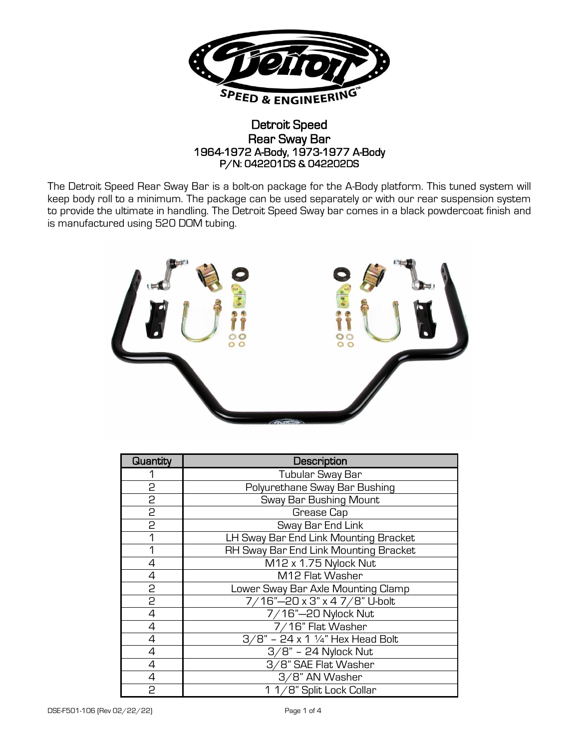

## Detroit Speed Rear Sway Bar 1964-1972 A-Body, 1973-1977 A-Body P/N: 042201DS & 042202DS

The Detroit Speed Rear Sway Bar is a bolt-on package for the A-Body platform. This tuned system will keep body roll to a minimum. The package can be used separately or with our rear suspension system to provide the ultimate in handling. The Detroit Speed Sway bar comes in a black powdercoat finish and is manufactured using 520 DOM tubing.



| Quantity       | Description                           |  |
|----------------|---------------------------------------|--|
|                | Tubular Sway Bar                      |  |
| 2              | Polyurethane Sway Bar Bushing         |  |
| 2              | Sway Bar Bushing Mount                |  |
| 2              | Grease Cap                            |  |
| $\overline{c}$ | Sway Bar End Link                     |  |
|                | LH Sway Bar End Link Mounting Bracket |  |
| 1              | RH Sway Bar End Link Mounting Bracket |  |
| 4              | M12 x 1.75 Nylock Nut                 |  |
| 4              | M12 Flat Washer                       |  |
| 5              | Lower Sway Bar Axle Mounting Clamp    |  |
| 2              | 7/16"-20 x 3" x 4 7/8" U-bolt         |  |
| 4              | 7/16"-20 Nylock Nut                   |  |
| 4              | 7/16" Flat Washer                     |  |
| 4              | $3/8"$ - 24 x 1 1/4" Hex Head Bolt    |  |
| 4              | $3/8"$ - 24 Nylock Nut                |  |
| 4              | 3/8" SAE Flat Washer                  |  |
| 4              | 3/8" AN Washer                        |  |
| 2              | 1 1/8" Split Lock Collar              |  |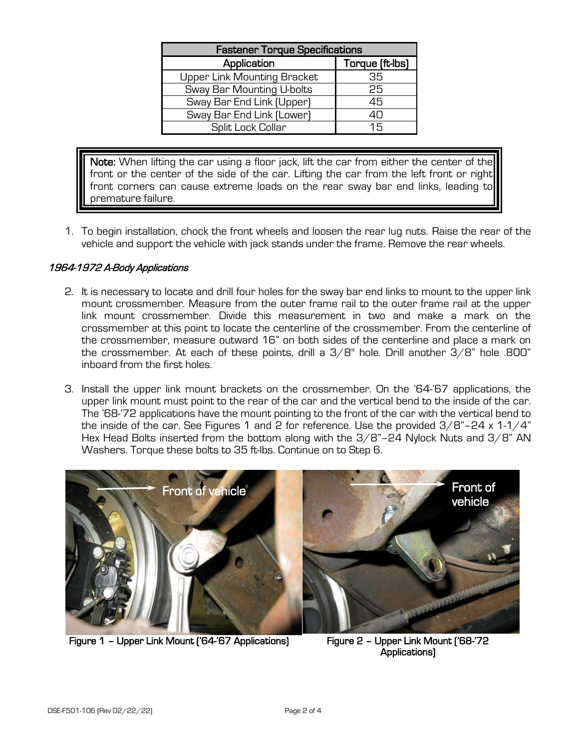| <b>Fastener Torque Specifications</b> |                 |  |  |
|---------------------------------------|-----------------|--|--|
| Application                           | Torque (ft-lbs) |  |  |
| Upper Link Mounting Bracket           | 35              |  |  |
| Sway Bar Mounting U-bolts             | 25              |  |  |
| Sway Bar End Link (Upper)             | 45              |  |  |
| Sway Bar End Link (Lower)             | 40              |  |  |
| Split Lock Collar                     | 15              |  |  |

Note: When lifting the car using a floor jack, lift the car from either the center of the front or the center of the side of the car. Lifting the car from the left front or right front corners can cause extreme loads on the rear sway bar end links, leading to premature failure.

1. To begin installation, chock the front wheels and loosen the rear lug nuts. Raise the rear of the vehicle and support the vehicle with jack stands under the frame. Remove the rear wheels.

## 1964-1972 A-Body Applications

- 2. It is necessary to locate and drill four holes for the sway bar end links to mount to the upper link mount crossmember. Measure from the outer frame rail to the outer frame rail at the upper link mount crossmember. Divide this measurement in two and make a mark on the crossmember at this point to locate the centerline of the crossmember. From the centerline of the crossmember, measure outward 16" on both sides of the centerline and place a mark on the crossmember. At each of these points, drill a  $3/8$ " hole. Drill another  $3/8$ " hole .800" inboard from the first holes.
- 3. Install the upper link mount brackets on the crossmember. On the '64-'67 applications, the upper link mount must point to the rear of the car and the vertical bend to the inside of the car. The '68-'72 applications have the mount pointing to the front of the car with the vertical bend to the inside of the car. See Figures 1 and 2 for reference. Use the provided  $3/8$ "-24 x 1-1/4" Hex Head Bolts inserted from the bottom along with the 3/8"-24 Nylock Nuts and 3/8" AN Washers. Torque these bolts to 35 ft-lbs. Continue on to Step 6.



Figure 1 – Upper Link Mount ('64-'67 Applications) Figure 2 – Upper Link Mount ('68-'72

Applications)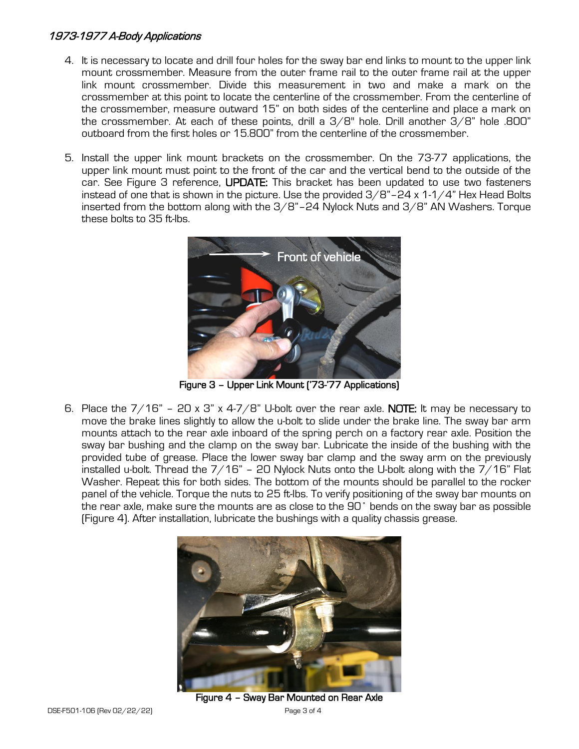## 1973-1977 A-Body Applications

- 4. It is necessary to locate and drill four holes for the sway bar end links to mount to the upper link mount crossmember. Measure from the outer frame rail to the outer frame rail at the upper link mount crossmember. Divide this measurement in two and make a mark on the crossmember at this point to locate the centerline of the crossmember. From the centerline of the crossmember, measure outward 15" on both sides of the centerline and place a mark on the crossmember. At each of these points, drill a  $3/8$ " hole. Drill another  $3/8$ " hole .800" outboard from the first holes or 15.800" from the centerline of the crossmember.
- 5. Install the upper link mount brackets on the crossmember. On the 73-77 applications, the upper link mount must point to the front of the car and the vertical bend to the outside of the car. See Figure 3 reference, UPDATE: This bracket has been updated to use two fasteners instead of one that is shown in the picture. Use the provided  $3/8$ "-24 x 1-1/4" Hex Head Bolts inserted from the bottom along with the  $3/8$ "-24 Nylock Nuts and  $3/8$ " AN Washers. Torque these bolts to 35 ft-lbs.



Figure 3 – Upper Link Mount ('73-'77 Applications)

6. Place the  $7/16$ " – 20 x 3" x 4-7/8" U-bolt over the rear axle. NOTE: It may be necessary to move the brake lines slightly to allow the u-bolt to slide under the brake line. The sway bar arm mounts attach to the rear axle inboard of the spring perch on a factory rear axle. Position the sway bar bushing and the clamp on the sway bar. Lubricate the inside of the bushing with the provided tube of grease. Place the lower sway bar clamp and the sway arm on the previously installed u-bolt. Thread the  $7/16"$  – 20 Nylock Nuts onto the U-bolt along with the  $7/16"$  Flat Washer. Repeat this for both sides. The bottom of the mounts should be parallel to the rocker panel of the vehicle. Torque the nuts to 25 ft-lbs. To verify positioning of the sway bar mounts on the rear axle, make sure the mounts are as close to the 90˚ bends on the sway bar as possible (Figure 4). After installation, lubricate the bushings with a quality chassis grease.



Figure 4 – Sway Bar Mounted on Rear Axle